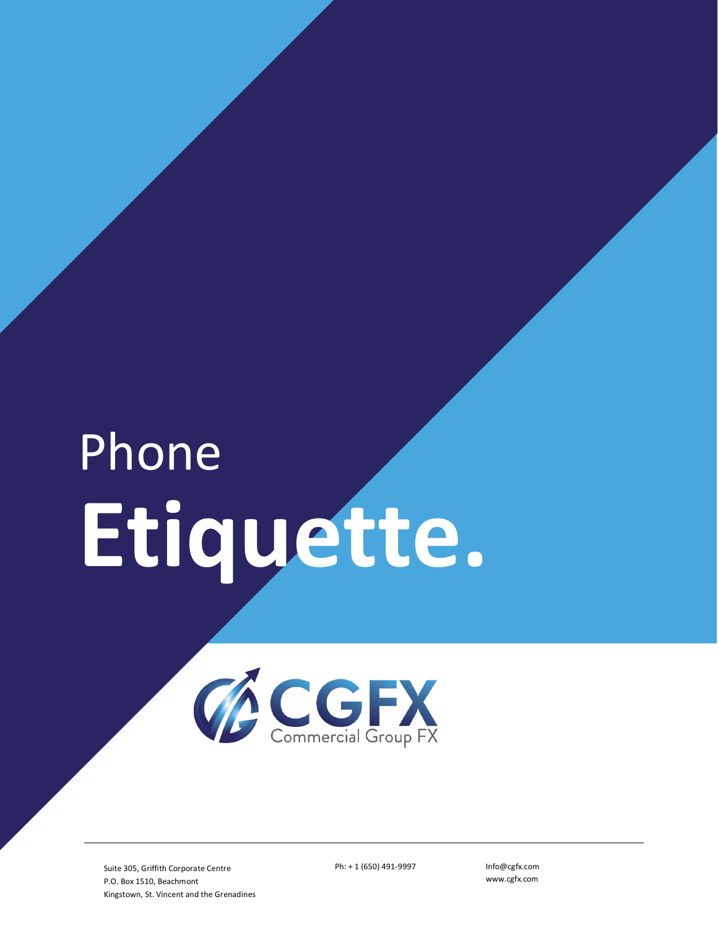# Phone **Etiquette.**



Suite 305, Griffith Corporate Centre P.O. Box 1510, Beachmont Kingstown, St. Vincent and the Grenadines Ph: + 1 (650) 491-9997 Info@cgfx.com

www.cgfx.com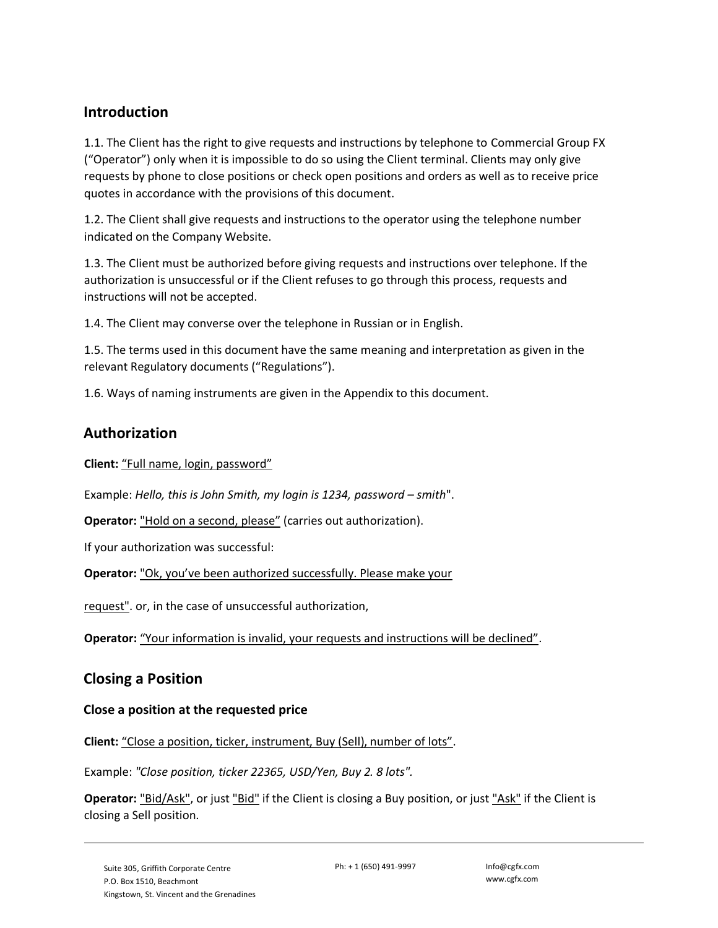## **Introduction**

1.1. The Client has the right to give requests and instructions by telephone to Commercial Group FX ("Operator") only when it is impossible to do so using the Client terminal. Clients may only give requests by phone to close positions or check open positions and orders as well as to receive price quotes in accordance with the provisions of this document.

1.2. The Client shall give requests and instructions to the operator using the telephone number indicated on the Company Website.

1.3. The Client must be authorized before giving requests and instructions over telephone. If the authorization is unsuccessful or if the Client refuses to go through this process, requests and instructions will not be accepted.

1.4. The Client may converse over the telephone in Russian or in English.

1.5. The terms used in this document have the same meaning and interpretation as given in the relevant Regulatory documents ("Regulations").

1.6. Ways of naming instruments are given in the Appendix to this document.

## **Authorization**

**Client:** "Full name, login, password"

Example: *Hello, this is John Smith, my login is 1234, password – smith"*.

**Operator:** "Hold on a second, please" (carries out authorization).

If your authorization was successful:

**Operator:** "Ok, you've been authorized successfully. Please make your

request". or, in the case of unsuccessful authorization,

**Operator:** "Your information is invalid, your requests and instructions will be declined".

#### **Closing a Position**

#### **Close a position at the requested price**

**Client:** "Close a position, ticker, instrument, Buy (Sell), number of lots".

Example: *"Close position, ticker 22365, USD/Yen, Buy 2. 8 lots".*

**Operator:** "Bid/Ask", or just "Bid" if the Client is closing a Buy position, or just "Ask" if the Client is closing a Sell position.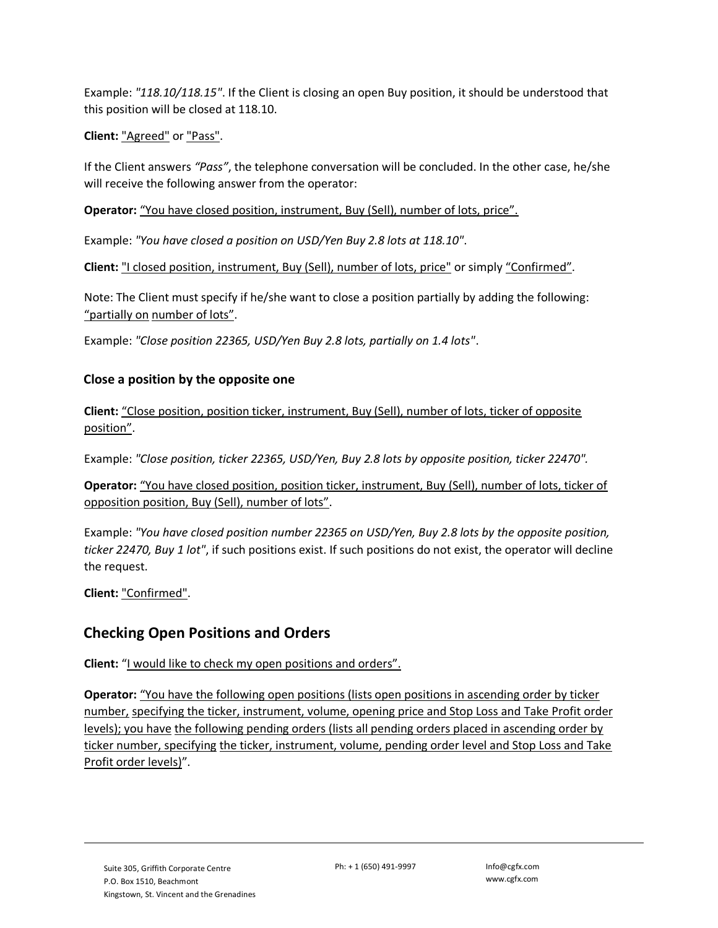Example: *"118.10/118.15"*. If the Client is closing an open Buy position, it should be understood that this position will be closed at 118.10.

**Client:** "Agreed" or "Pass".

If the Client answers *"Pass"*, the telephone conversation will be concluded. In the other case, he/she will receive the following answer from the operator:

**Operator:** "You have closed position, instrument, Buy (Sell), number of lots, price".

Example: *"You have closed a position on USD/Yen Buy 2.8 lots at 118.10"*.

**Client:** "I closed position, instrument, Buy (Sell), number of lots, price" or simply "Confirmed".

Note: The Client must specify if he/she want to close a position partially by adding the following: "partially on number of lots".

Example: *"Close position 22365, USD/Yen Buy 2.8 lots, partially on 1.4 lots"*.

#### **Close a position by the opposite one**

**Client:** "Close position, position ticker, instrument, Buy (Sell), number of lots, ticker of opposite position".

Example: *"Close position, ticker 22365, USD/Yen, Buy 2.8 lots by opposite position, ticker 22470".*

**Operator:** "You have closed position, position ticker, instrument, Buy (Sell), number of lots, ticker of opposition position, Buy (Sell), number of lots".

Example: *"You have closed position number 22365 on USD/Yen, Buy 2.8 lots by the opposite position, ticker 22470, Buy 1 lot"*, if such positions exist. If such positions do not exist, the operator will decline the request.

**Client:** "Confirmed".

# **Checking Open Positions and Orders**

**Client:** "I would like to check my open positions and orders".

**Operator:** "You have the following open positions (lists open positions in ascending order by ticker number, specifying the ticker, instrument, volume, opening price and Stop Loss and Take Profit order levels); you have the following pending orders (lists all pending orders placed in ascending order by ticker number, specifying the ticker, instrument, volume, pending order level and Stop Loss and Take Profit order levels)".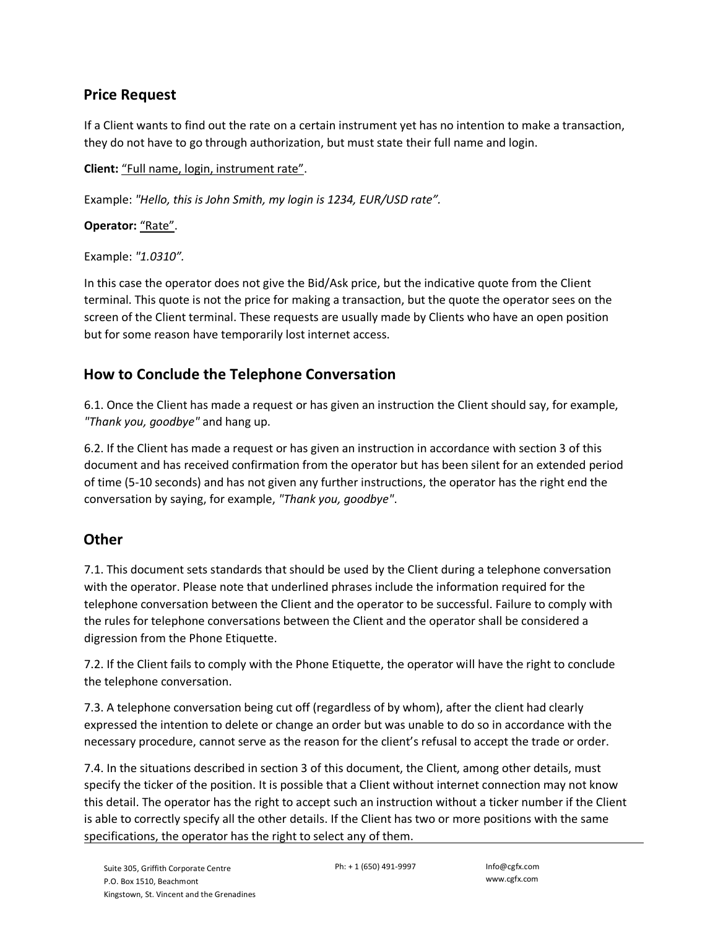## **Price Request**

If a Client wants to find out the rate on a certain instrument yet has no intention to make a transaction, they do not have to go through authorization, but must state their full name and login.

**Client:** "Full name, login, instrument rate".

Example: *"Hello, this is John Smith, my login is 1234, EUR/USD rate".*

Operator: "Rate".

Example: *"1.0310".*

In this case the operator does not give the Bid/Ask price, but the indicative quote from the Client terminal. This quote is not the price for making a transaction, but the quote the operator sees on the screen of the Client terminal. These requests are usually made by Clients who have an open position but for some reason have temporarily lost internet access.

# **How to Conclude the Telephone Conversation**

6.1. Once the Client has made a request or has given an instruction the Client should say, for example, *"Thank you, goodbye"* and hang up.

6.2. If the Client has made a request or has given an instruction in accordance with section 3 of this document and has received confirmation from the operator but has been silent for an extended period of time (5-10 seconds) and has not given any further instructions, the operator has the right end the conversation by saying, for example, *"Thank you, goodbye"*.

# **Other**

7.1. This document sets standards that should be used by the Client during a telephone conversation with the operator. Please note that underlined phrases include the information required for the telephone conversation between the Client and the operator to be successful. Failure to comply with the rules for telephone conversations between the Client and the operator shall be considered a digression from the Phone Etiquette.

7.2. If the Client fails to comply with the Phone Etiquette, the operator will have the right to conclude the telephone conversation.

7.3. A telephone conversation being cut off (regardless of by whom), after the client had clearly expressed the intention to delete or change an order but was unable to do so in accordance with the necessary procedure, cannot serve as the reason for the client's refusal to accept the trade or order.

7.4. In the situations described in section 3 of this document, the Client, among other details, must specify the ticker of the position. It is possible that a Client without internet connection may not know this detail. The operator has the right to accept such an instruction without a ticker number if the Client is able to correctly specify all the other details. If the Client has two or more positions with the same specifications, the operator has the right to select any of them.